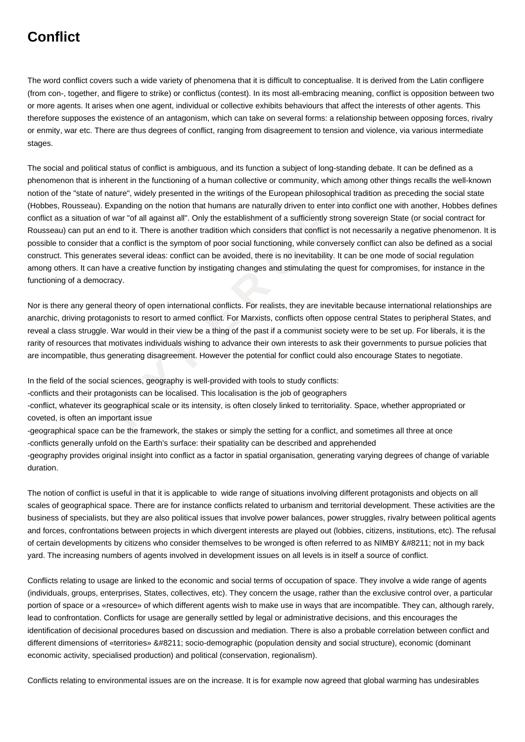## **Conflict**

The word conflict covers such a wide variety of phenomena that it is difficult to conceptualise. It is derived from the Latin confligere (from con-, together, and fligere to strike) or conflictus (contest). In its most all-embracing meaning, conflict is opposition between two or more agents. It arises when one agent, individual or collective exhibits behaviours that affect the interests of other agents. This therefore supposes the existence of an antagonism, which can take on several forms: a relationship between opposing forces, rivalry or enmity, war etc. There are thus degrees of conflict, ranging from disagreement to tension and violence, via various intermediate stages.

It is inherent in the functioning of a human collective or community, which among othe of nature", widely presented in the writings of the European philosophical tradition cau). Expanding on the notion that humans are natu The social and political status of conflict is ambiguous, and its function a subject of long-standing debate. It can be defined as a phenomenon that is inherent in the functioning of a human collective or community, which among other things recalls the well-known notion of the "state of nature", widely presented in the writings of the European philosophical tradition as preceding the social state (Hobbes, Rousseau). Expanding on the notion that humans are naturally driven to enter into conflict one with another, Hobbes defines conflict as a situation of war "of all against all". Only the establishment of a sufficiently strong sovereign State (or social contract for Rousseau) can put an end to it. There is another tradition which considers that conflict is not necessarily a negative phenomenon. It is possible to consider that a conflict is the symptom of poor social functioning, while conversely conflict can also be defined as a social construct. This generates several ideas: conflict can be avoided, there is no inevitability. It can be one mode of social regulation among others. It can have a creative function by instigating changes and stimulating the quest for compromises, for instance in the functioning of a democracy.

Nor is there any general theory of open international conflicts. For realists, they are inevitable because international relationships are anarchic, driving protagonists to resort to armed conflict. For Marxists, conflicts often oppose central States to peripheral States, and reveal a class struggle. War would in their view be a thing of the past if a communist society were to be set up. For liberals, it is the rarity of resources that motivates individuals wishing to advance their own interests to ask their governments to pursue policies that are incompatible, thus generating disagreement. However the potential for conflict could also encourage States to negotiate.

In the field of the social sciences, geography is well-provided with tools to study conflicts:

-conflicts and their protagonists can be localised. This localisation is the job of geographers

-conflict, whatever its geographical scale or its intensity, is often closely linked to territoriality. Space, whether appropriated or coveted, is often an important issue

-geographical space can be the framework, the stakes or simply the setting for a conflict, and sometimes all three at once -conflicts generally unfold on the Earth's surface: their spatiality can be described and apprehended

-geography provides original insight into conflict as a factor in spatial organisation, generating varying degrees of change of variable duration.

The notion of conflict is useful in that it is applicable to wide range of situations involving different protagonists and objects on all scales of geographical space. There are for instance conflicts related to urbanism and territorial development. These activities are the business of specialists, but they are also political issues that involve power balances, power struggles, rivalry between political agents and forces, confrontations between projects in which divergent interests are played out (lobbies, citizens, institutions, etc). The refusal of certain developments by citizens who consider themselves to be wronged is often referred to as NIMBY – not in my back yard. The increasing numbers of agents involved in development issues on all levels is in itself a source of conflict.

Conflicts relating to usage are linked to the economic and social terms of occupation of space. They involve a wide range of agents (individuals, groups, enterprises, States, collectives, etc). They concern the usage, rather than the exclusive control over, a particular portion of space or a «resource» of which different agents wish to make use in ways that are incompatible. They can, although rarely, lead to confrontation. Conflicts for usage are generally settled by legal or administrative decisions, and this encourages the identification of decisional procedures based on discussion and mediation. There is also a probable correlation between conflict and different dimensions of «territories» – socio-demographic (population density and social structure), economic (dominant economic activity, specialised production) and political (conservation, regionalism).

Conflicts relating to environmental issues are on the increase. It is for example now agreed that global warming has undesirables